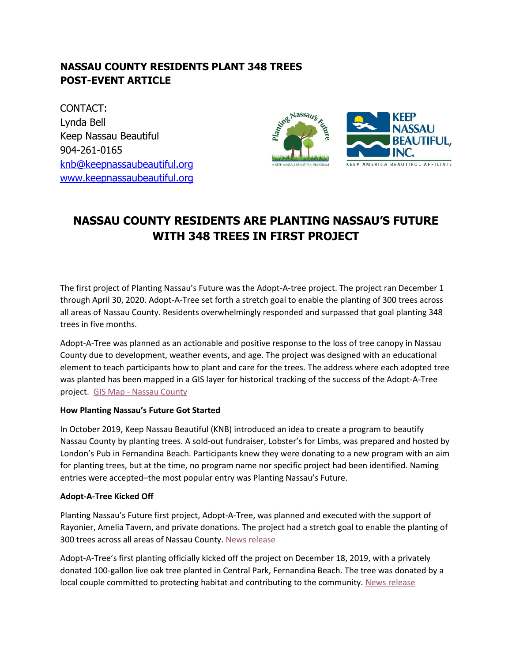## **NASSAU COUNTY RESIDENTS PLANT 348 TREES POST-EVENT ARTICLE**

CONTACT: Lynda Bell Keep Nassau Beautiful 904-261-0165 [knb@keepnassaubeautiful.org](mailto:knb@keepnassaubeautiful.org) [www.keepnassaubeautiful.org](http://www.keepnassaubeautiful.org/)



# **NASSAU COUNTY RESIDENTS ARE PLANTING NASSAU'S FUTURE WITH 348 TREES IN FIRST PROJECT**

The first project of Planting Nassau's Future was the Adopt-A-tree project. The project ran December 1 through April 30, 2020. Adopt-A-Tree set forth a stretch goal to enable the planting of 300 trees across all areas of Nassau County. Residents overwhelmingly responded and surpassed that goal planting 348 trees in five months.

Adopt-A-Tree was planned as an actionable and positive response to the loss of tree canopy in Nassau County due to development, weather events, and age. The project was designed with an educational element to teach participants how to plant and care for the trees. The address where each adopted tree was planted has been mapped in a GIS layer for historical tracking of the success of the Adopt-A-Tree project. GIS Map - [Nassau County](https://keepnassaubeautiful.org/wp-content/uploads/2020/06/4-20-2020-GIS-Report.pdf)

#### **How Planting Nassau's Future Got Started**

In October 2019, Keep Nassau Beautiful (KNB) introduced an idea to create a program to beautify Nassau County by planting trees. A sold-out fundraiser, Lobster's for Limbs, was prepared and hosted by London's Pub in Fernandina Beach. Participants knew they were donating to a new program with an aim for planting trees, but at the time, no program name nor specific project had been identified. Naming entries were accepted–the most popular entry was Planting Nassau's Future.

#### **Adopt-A-Tree Kicked Off**

Planting Nassau's Future first project, Adopt-A-Tree, was planned and executed with the support of Rayonier, Amelia Tavern, and private donations. The project had a stretch goal to enable the planting of 300 trees across all areas of Nassau County. [News release](https://keepnassaubeautiful.org/wp-content/uploads/2019/12/KNB-PNF-Announcement-Media-Release-fnl.pdf)

Adopt-A-Tree's first planting officially kicked off the project on December 18, 2019, with a privately donated 100-gallon live oak tree planted in Central Park, Fernandina Beach. The tree was donated by a local couple committed to protecting habitat and contributing to the community. [News release](https://keepnassaubeautiful.org/wp-content/uploads/2019/12/KNB-PNF-First-Tree-Planted-Media-Release.pdf)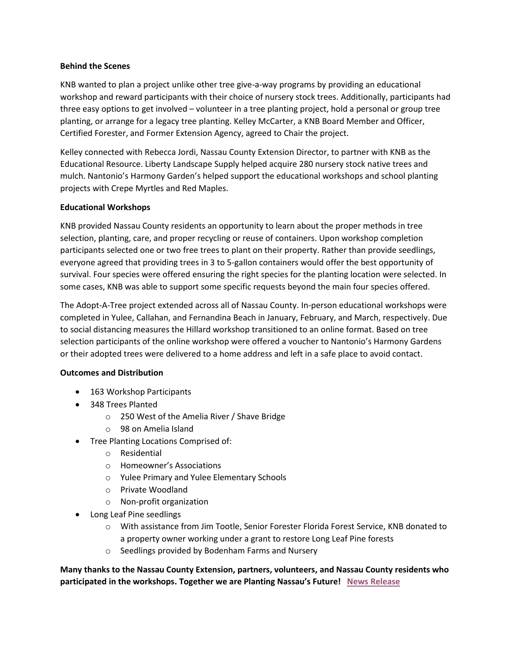#### **Behind the Scenes**

KNB wanted to plan a project unlike other tree give-a-way programs by providing an educational workshop and reward participants with their choice of nursery stock trees. Additionally, participants had three easy options to get involved – volunteer in a tree planting project, hold a personal or group tree planting, or arrange for a legacy tree planting. Kelley McCarter, a KNB Board Member and Officer, Certified Forester, and Former Extension Agency, agreed to Chair the project.

Kelley connected with Rebecca Jordi, Nassau County Extension Director, to partner with KNB as the Educational Resource. Liberty Landscape Supply helped acquire 280 nursery stock native trees and mulch. Nantonio's Harmony Garden's helped support the educational workshops and school planting projects with Crepe Myrtles and Red Maples.

#### **Educational Workshops**

KNB provided Nassau County residents an opportunity to learn about the proper methods in tree selection, planting, care, and proper recycling or reuse of containers. Upon workshop completion participants selected one or two free trees to plant on their property. Rather than provide seedlings, everyone agreed that providing trees in 3 to 5-gallon containers would offer the best opportunity of survival. Four species were offered ensuring the right species for the planting location were selected. In some cases, KNB was able to support some specific requests beyond the main four species offered.

The Adopt-A-Tree project extended across all of Nassau County. In-person educational workshops were completed in Yulee, Callahan, and Fernandina Beach in January, February, and March, respectively. Due to social distancing measures the Hillard workshop transitioned to an online format. Based on tree selection participants of the online workshop were offered a voucher to Nantonio's Harmony Gardens or their adopted trees were delivered to a home address and left in a safe place to avoid contact.

#### **Outcomes and Distribution**

- 163 Workshop Participants
- 348 Trees Planted
	- o 250 West of the Amelia River / Shave Bridge
	- o 98 on Amelia Island
- Tree Planting Locations Comprised of:
	- o Residential
	- o Homeowner's Associations
	- o Yulee Primary and Yulee Elementary Schools
	- o Private Woodland
	- o Non-profit organization
- Long Leaf Pine seedlings
	- o With assistance from Jim Tootle, Senior Forester Florida Forest Service, KNB donated to a property owner working under a grant to restore Long Leaf Pine forests
	- o Seedlings provided by Bodenham Farms and Nursery

**Many thanks to the Nassau County Extension, partners, volunteers, and Nassau County residents who participated in the workshops. Together we are Planting Nassau's Future! [News Release](https://keepnassaubeautiful.org/wp-content/uploads/2020/06/KNB-PRESS-RELEASE_Adopt-A-Tree-Outcome_060820.pdf)**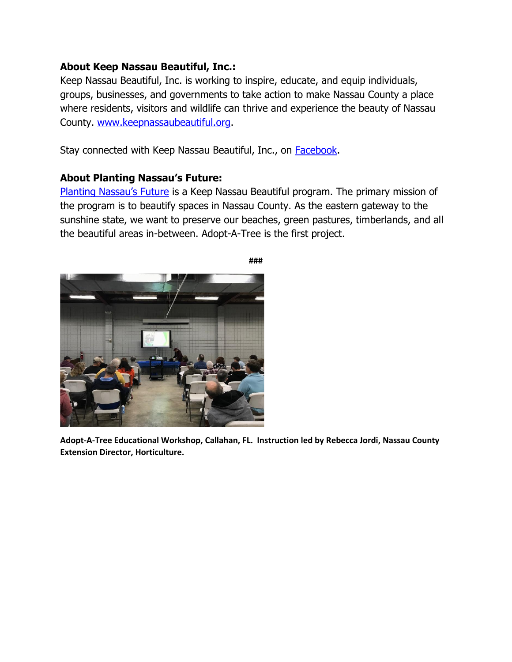### **About Keep Nassau Beautiful, Inc.:**

Keep Nassau Beautiful, Inc. is working to inspire, educate, and equip individuals, groups, businesses, and governments to take action to make Nassau County a place where residents, visitors and wildlife can thrive and experience the beauty of Nassau County. [www.keepnassaubeautiful.org.](http://www.keepnassaubeautiful.org/)

Stay connected with Keep Nassau Beautiful, Inc., on **Facebook**.

## **About Planting Nassau's Future:**

[Planting Nassau's Future](https://keepnassaubeautiful.org/programs/planting-nassaus-future/) is a Keep Nassau Beautiful program. The primary mission of the program is to beautify spaces in Nassau County. As the eastern gateway to the sunshine state, we want to preserve our beaches, green pastures, timberlands, and all the beautiful areas in-between. Adopt-A-Tree is the first project.



**Adopt-A-Tree Educational Workshop, Callahan, FL. Instruction led by Rebecca Jordi, Nassau County Extension Director, Horticulture.**

**###**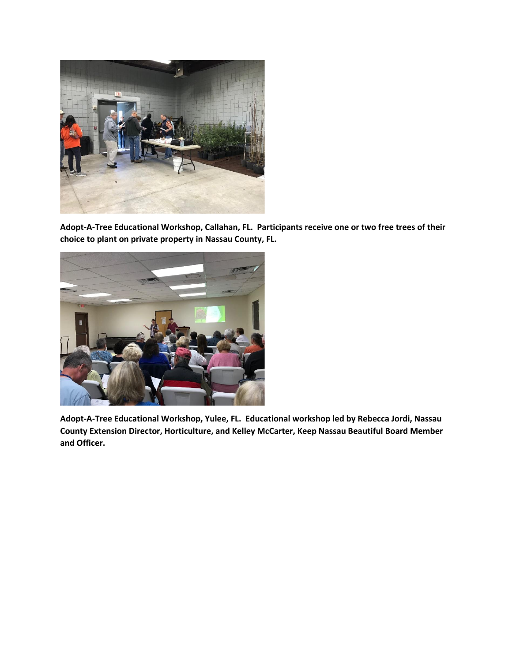

**Adopt-A-Tree Educational Workshop, Callahan, FL. Participants receive one or two free trees of their choice to plant on private property in Nassau County, FL.**



**Adopt-A-Tree Educational Workshop, Yulee, FL. Educational workshop led by Rebecca Jordi, Nassau County Extension Director, Horticulture, and Kelley McCarter, Keep Nassau Beautiful Board Member and Officer.**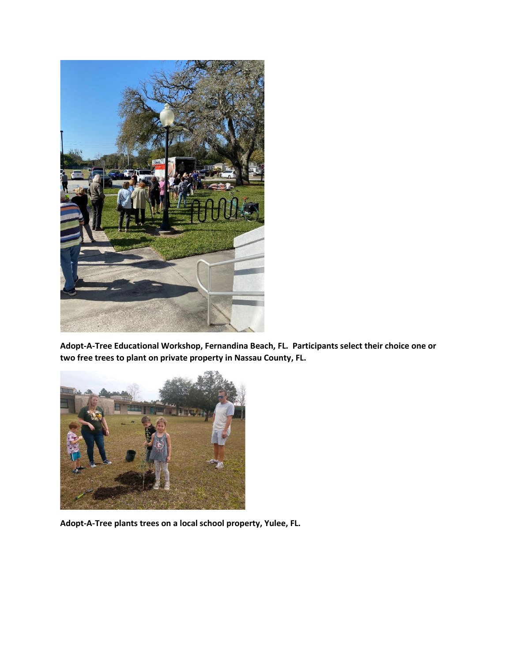

**Adopt-A-Tree Educational Workshop, Fernandina Beach, FL. Participants select their choice one or two free trees to plant on private property in Nassau County, FL.**



**Adopt-A-Tree plants trees on a local school property, Yulee, FL.**